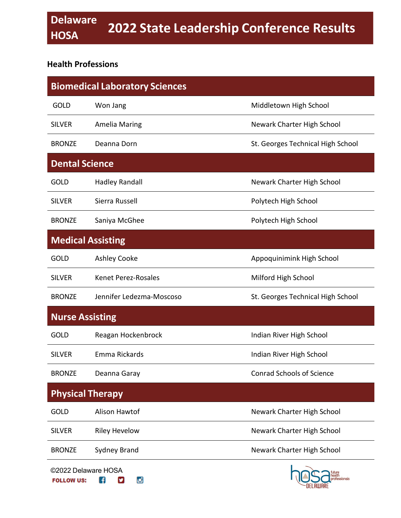#### **Health Professions**

| <b>Biomedical Laboratory Sciences</b> |                            |                                   |  |
|---------------------------------------|----------------------------|-----------------------------------|--|
| <b>GOLD</b>                           | Won Jang                   | Middletown High School            |  |
| <b>SILVER</b>                         | <b>Amelia Maring</b>       | Newark Charter High School        |  |
| <b>BRONZE</b>                         | Deanna Dorn                | St. Georges Technical High School |  |
| <b>Dental Science</b>                 |                            |                                   |  |
| <b>GOLD</b>                           | <b>Hadley Randall</b>      | Newark Charter High School        |  |
| <b>SILVER</b>                         | Sierra Russell             | Polytech High School              |  |
| <b>BRONZE</b>                         | Saniya McGhee              | Polytech High School              |  |
| <b>Medical Assisting</b>              |                            |                                   |  |
| <b>GOLD</b>                           | <b>Ashley Cooke</b>        | Appoquinimink High School         |  |
| <b>SILVER</b>                         | <b>Kenet Perez-Rosales</b> | Milford High School               |  |
| <b>BRONZE</b>                         | Jennifer Ledezma-Moscoso   | St. Georges Technical High School |  |
| <b>Nurse Assisting</b>                |                            |                                   |  |
| <b>GOLD</b>                           | Reagan Hockenbrock         | Indian River High School          |  |
| <b>SILVER</b>                         | Emma Rickards              | Indian River High School          |  |
| <b>BRONZE</b>                         | Deanna Garay               | <b>Conrad Schools of Science</b>  |  |
| <b>Physical Therapy</b>               |                            |                                   |  |
| <b>GOLD</b>                           | Alison Hawtof              | Newark Charter High School        |  |
| <b>SILVER</b>                         | <b>Riley Hevelow</b>       | Newark Charter High School        |  |
| <b>BRONZE</b>                         | <b>Sydney Brand</b>        | Newark Charter High School        |  |
|                                       | ©2022 Delaware HOSA        | future                            |  |

o

 $\mathbf{f}$   $\mathbf{v}$ 

**FOLLOW US:** 

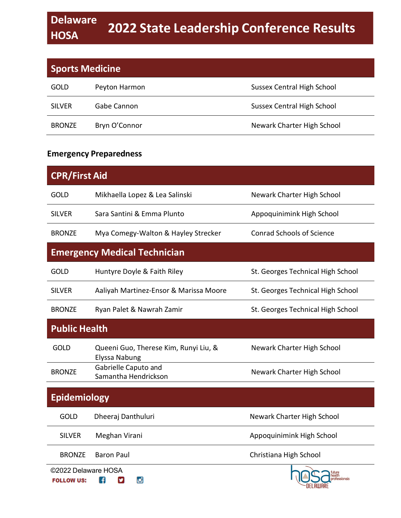| <b>Sports Medicine</b> |               |                                   |
|------------------------|---------------|-----------------------------------|
| <b>GOLD</b>            | Peyton Harmon | Sussex Central High School        |
| <b>SILVER</b>          | Gabe Cannon   | <b>Sussex Central High School</b> |
| <b>BRONZE</b>          | Bryn O'Connor | Newark Charter High School        |

#### **Emergency Preparedness**

| <b>CPR/First Aid</b>                     |                                                        |                                   |  |
|------------------------------------------|--------------------------------------------------------|-----------------------------------|--|
| GOLD                                     | Mikhaella Lopez & Lea Salinski                         | Newark Charter High School        |  |
| <b>SILVER</b>                            | Sara Santini & Emma Plunto                             | Appoquinimink High School         |  |
| <b>BRONZE</b>                            | Mya Comegy-Walton & Hayley Strecker                    | <b>Conrad Schools of Science</b>  |  |
| <b>Emergency Medical Technician</b>      |                                                        |                                   |  |
| <b>GOLD</b>                              | Huntyre Doyle & Faith Riley                            | St. Georges Technical High School |  |
| <b>SILVER</b>                            | Aaliyah Martinez-Ensor & Marissa Moore                 | St. Georges Technical High School |  |
| <b>BRONZE</b>                            | Ryan Palet & Nawrah Zamir                              | St. Georges Technical High School |  |
| <b>Public Health</b>                     |                                                        |                                   |  |
| GOLD                                     | Queeni Guo, Therese Kim, Runyi Liu, &<br>Elyssa Nabung | Newark Charter High School        |  |
| <b>BRONZE</b>                            | Gabrielle Caputo and<br>Samantha Hendrickson           | Newark Charter High School        |  |
| <b>Epidemiology</b>                      |                                                        |                                   |  |
| <b>GOLD</b>                              | Dheeraj Danthuluri                                     | Newark Charter High School        |  |
| <b>SILVER</b>                            | Meghan Virani                                          | Appoquinimink High School         |  |
| <b>BRONZE</b>                            | <b>Baron Paul</b>                                      | Christiana High School            |  |
| ©2022 Delaware HOSA<br><b>FOLLOW US:</b> | м<br>H                                                 | <b>ofessionals</b>                |  |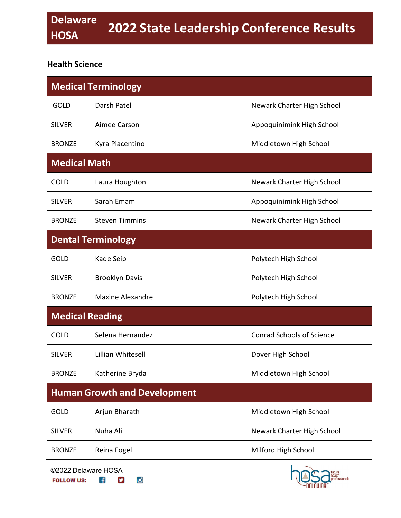#### **Health Science**

| <b>Medical Terminology</b>               |                           |                                  |  |
|------------------------------------------|---------------------------|----------------------------------|--|
| <b>GOLD</b>                              | Darsh Patel               | Newark Charter High School       |  |
| <b>SILVER</b>                            | Aimee Carson              | Appoquinimink High School        |  |
| <b>BRONZE</b>                            | Kyra Piacentino           | Middletown High School           |  |
| <b>Medical Math</b>                      |                           |                                  |  |
| <b>GOLD</b>                              | Laura Houghton            | Newark Charter High School       |  |
| <b>SILVER</b>                            | Sarah Emam                | Appoquinimink High School        |  |
| <b>BRONZE</b>                            | <b>Steven Timmins</b>     | Newark Charter High School       |  |
|                                          | <b>Dental Terminology</b> |                                  |  |
| <b>GOLD</b>                              | Kade Seip                 | Polytech High School             |  |
| <b>SILVER</b>                            | <b>Brooklyn Davis</b>     | Polytech High School             |  |
| <b>BRONZE</b>                            | Maxine Alexandre          | Polytech High School             |  |
| <b>Medical Reading</b>                   |                           |                                  |  |
| <b>GOLD</b>                              | Selena Hernandez          | <b>Conrad Schools of Science</b> |  |
| <b>SILVER</b>                            | Lillian Whitesell         | Dover High School                |  |
| <b>BRONZE</b>                            | Katherine Bryda           | Middletown High School           |  |
| <b>Human Growth and Development</b>      |                           |                                  |  |
| <b>GOLD</b>                              | Arjun Bharath             | Middletown High School           |  |
| <b>SILVER</b>                            | Nuha Ali                  | Newark Charter High School       |  |
| <b>BRONZE</b>                            | Reina Fogel               | Milford High School              |  |
| ©2022 Delaware HOSA<br><b>FOLLOW US:</b> | A<br>o<br>ש               | ofessionals                      |  |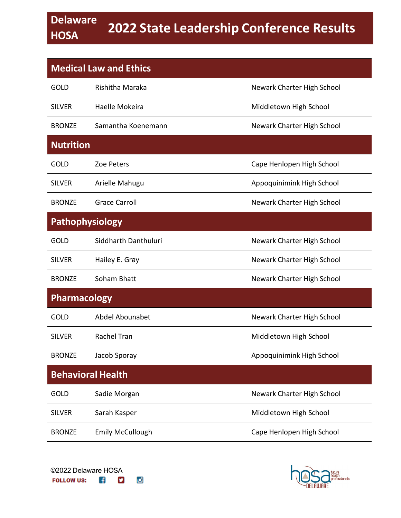| <b>Medical Law and Ethics</b> |                          |                            |  |
|-------------------------------|--------------------------|----------------------------|--|
| <b>GOLD</b>                   | Rishitha Maraka          | Newark Charter High School |  |
| <b>SILVER</b>                 | Haelle Mokeira           | Middletown High School     |  |
| <b>BRONZE</b>                 | Samantha Koenemann       | Newark Charter High School |  |
| <b>Nutrition</b>              |                          |                            |  |
| <b>GOLD</b>                   | Zoe Peters               | Cape Henlopen High School  |  |
| <b>SILVER</b>                 | Arielle Mahugu           | Appoquinimink High School  |  |
| <b>BRONZE</b>                 | <b>Grace Carroll</b>     | Newark Charter High School |  |
| <b>Pathophysiology</b>        |                          |                            |  |
| <b>GOLD</b>                   | Siddharth Danthuluri     | Newark Charter High School |  |
| <b>SILVER</b>                 | Hailey E. Gray           | Newark Charter High School |  |
| <b>BRONZE</b>                 | Soham Bhatt              | Newark Charter High School |  |
| <b>Pharmacology</b>           |                          |                            |  |
| <b>GOLD</b>                   | Abdel Abounabet          | Newark Charter High School |  |
| <b>SILVER</b>                 | Rachel Tran              | Middletown High School     |  |
| <b>BRONZE</b>                 | Jacob Sporay             | Appoquinimink High School  |  |
|                               | <b>Behavioral Health</b> |                            |  |
| <b>GOLD</b>                   | Sadie Morgan             | Newark Charter High School |  |
| <b>SILVER</b>                 | Sarah Kasper             | Middletown High School     |  |
| <b>BRONZE</b>                 | <b>Emily McCullough</b>  | Cape Henlopen High School  |  |

o

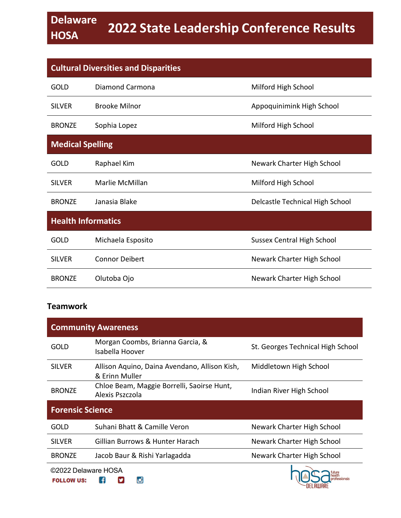| <b>Cultural Diversities and Disparities</b> |                       |                                   |
|---------------------------------------------|-----------------------|-----------------------------------|
| GOLD                                        | Diamond Carmona       | Milford High School               |
| <b>SILVER</b>                               | <b>Brooke Milnor</b>  | Appoquinimink High School         |
| <b>BRONZE</b>                               | Sophia Lopez          | Milford High School               |
| <b>Medical Spelling</b>                     |                       |                                   |
| <b>GOLD</b>                                 | Raphael Kim           | Newark Charter High School        |
| <b>SILVER</b>                               | Marlie McMillan       | Milford High School               |
| <b>BRONZE</b>                               | Janasia Blake         | Delcastle Technical High School   |
| <b>Health Informatics</b>                   |                       |                                   |
| <b>GOLD</b>                                 | Michaela Esposito     | <b>Sussex Central High School</b> |
| <b>SILVER</b>                               | <b>Connor Deibert</b> | Newark Charter High School        |
| <b>BRONZE</b>                               | Olutoba Ojo           | Newark Charter High School        |

#### **Teamwork**

| <b>Community Awareness</b>               |                                                                 |                                   |
|------------------------------------------|-----------------------------------------------------------------|-----------------------------------|
| <b>GOLD</b>                              | Morgan Coombs, Brianna Garcia, &<br>Isabella Hoover             | St. Georges Technical High School |
| <b>SILVER</b>                            | Allison Aquino, Daina Avendano, Allison Kish,<br>& Erinn Muller | Middletown High School            |
| <b>BRONZE</b>                            | Chloe Beam, Maggie Borrelli, Saoirse Hunt,<br>Alexis Pszczola   | Indian River High School          |
| <b>Forensic Science</b>                  |                                                                 |                                   |
| GOLD                                     | Suhani Bhatt & Camille Veron                                    | Newark Charter High School        |
| <b>SILVER</b>                            | Gillian Burrows & Hunter Harach                                 | Newark Charter High School        |
| <b>BRONZE</b>                            | Jacob Baur & Rishi Yarlagadda                                   | Newark Charter High School        |
| ©2022 Delaware HOSA<br><b>FOLLOW US:</b> | o                                                               |                                   |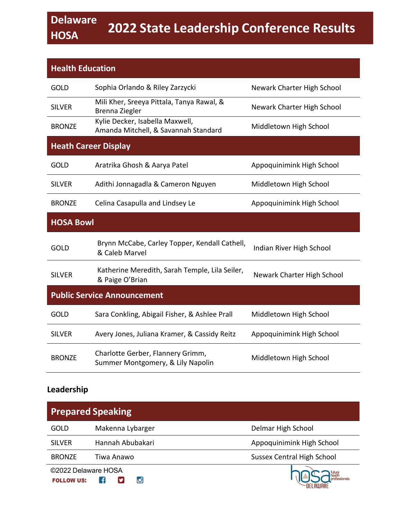| <b>Health Education</b> |                                                                         |                            |
|-------------------------|-------------------------------------------------------------------------|----------------------------|
| <b>GOLD</b>             | Sophia Orlando & Riley Zarzycki                                         | Newark Charter High School |
| <b>SILVER</b>           | Mili Kher, Sreeya Pittala, Tanya Rawal, &<br>Brenna Ziegler             | Newark Charter High School |
| <b>BRONZE</b>           | Kylie Decker, Isabella Maxwell,<br>Amanda Mitchell, & Savannah Standard | Middletown High School     |
|                         | <b>Heath Career Display</b>                                             |                            |
| <b>GOLD</b>             | Aratrika Ghosh & Aarya Patel                                            | Appoquinimink High School  |
| <b>SILVER</b>           | Adithi Jonnagadla & Cameron Nguyen                                      | Middletown High School     |
| <b>BRONZE</b>           | Celina Casapulla and Lindsey Le                                         | Appoquinimink High School  |
| <b>HOSA Bowl</b>        |                                                                         |                            |
| <b>GOLD</b>             | Brynn McCabe, Carley Topper, Kendall Cathell,<br>& Caleb Marvel         | Indian River High School   |
| <b>SILVER</b>           | Katherine Meredith, Sarah Temple, Lila Seiler,<br>& Paige O'Brian       | Newark Charter High School |
|                         | <b>Public Service Announcement</b>                                      |                            |
| <b>GOLD</b>             | Sara Conkling, Abigail Fisher, & Ashlee Prall                           | Middletown High School     |
| <b>SILVER</b>           | Avery Jones, Juliana Kramer, & Cassidy Reitz                            | Appoquinimink High School  |
| <b>BRONZE</b>           | Charlotte Gerber, Flannery Grimm,<br>Summer Montgomery, & Lily Napolin  | Middletown High School     |

#### **Leadership**

| <b>Prepared Speaking</b>                 |                  |                                   |
|------------------------------------------|------------------|-----------------------------------|
| GOLD                                     | Makenna Lybarger | Delmar High School                |
| <b>SILVER</b>                            | Hannah Abubakari | Appoquinimink High School         |
| <b>BRONZE</b>                            | Tiwa Anawo       | <b>Sussex Central High School</b> |
| ©2022 Delaware HOSA<br><b>FOLLOW US:</b> | юł               |                                   |